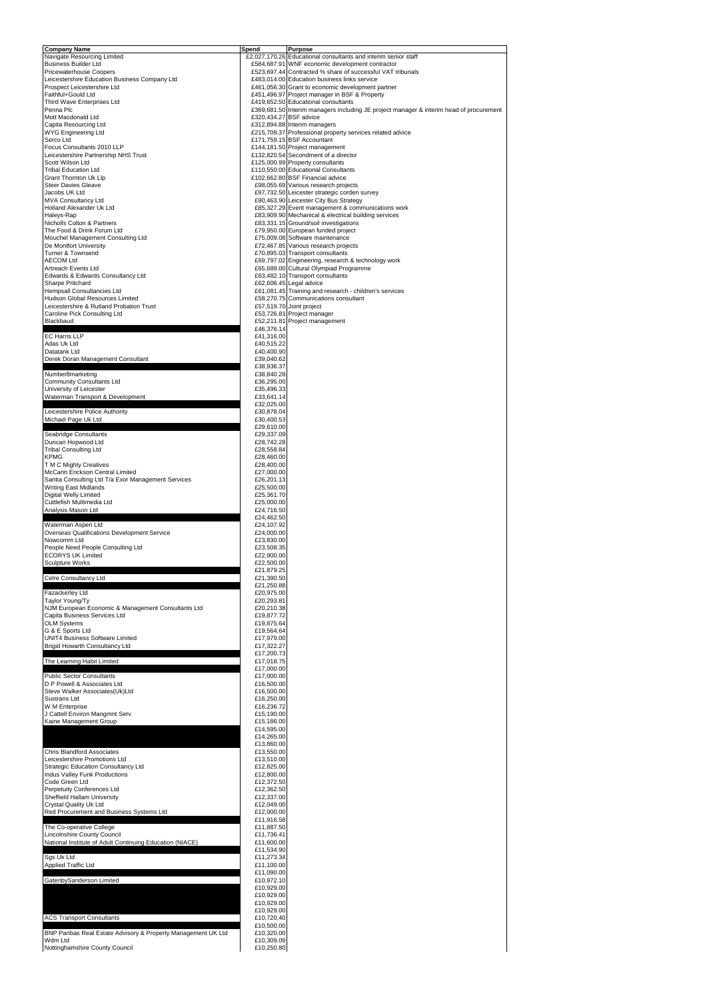| <b>Company Name</b>                                                                   | Spend                    | <b>Purpose</b>                                                                                    |
|---------------------------------------------------------------------------------------|--------------------------|---------------------------------------------------------------------------------------------------|
| Navigate Resourcing Limited                                                           |                          | £2,027,170.26 Educational consultants and interim senior staff                                    |
| <b>Business Builder Ltd</b>                                                           |                          | £584,687.91 WNF economic development contractor                                                   |
| <b>Pricewaterhouse Coopers</b>                                                        |                          | £523,697.44 Contracted % share of successful VAT tribunals                                        |
| Leicestershire Education Business Company Ltd<br>Prospect Leicestershire Ltd          |                          | £483,014.00 Education business links service<br>£461,056.30 Grant to economic development partner |
| Faithful+Gould Ltd                                                                    |                          | £451,496.97 Project manager in BSF & Property                                                     |
| Third Wave Enterprises Ltd                                                            |                          | £419,652.50 Educational consultants                                                               |
| Penna Plc                                                                             |                          | £369,681.50 Interim managers including JE project manager & interim head of procurement           |
| Mott Macdonald Ltd                                                                    |                          | £320,434.27 BSF advice                                                                            |
| Capita Resourcing Ltd                                                                 |                          | £312,894.88 Interim managers                                                                      |
| <b>WYG Engineering Ltd</b>                                                            |                          | £215,709.37 Professional property services related advice                                         |
| Serco Ltd                                                                             |                          | £171,759.15 BSF Accountant                                                                        |
| Focus Consultants 2010 LLP                                                            |                          | £144,181.50 Project management                                                                    |
| Leicestershire Partnership NHS Trust<br>Scott Wilson Ltd                              |                          | £132,820.54 Secondment of a director<br>£125,000.99 Property consultants                          |
| <b>Tribal Education Ltd</b>                                                           |                          | £110,550.00 Educational Consultants                                                               |
| Grant Thornton Uk Llp                                                                 |                          | £102,662.80 BSF Financial advice                                                                  |
| <b>Steer Davies Gleave</b>                                                            |                          | £98,055.69 Various research projects                                                              |
| Jacobs UK Ltd                                                                         |                          | £97,732.50 Leicester strategic corden survey                                                      |
| <b>MVA Consultancy Ltd</b>                                                            |                          | £90,463.90 Leicester City Bus Strategy                                                            |
| <b>Holland Alexander Uk Ltd</b>                                                       |                          | £85,327.29 Event management & communications work                                                 |
| Haleys-Rap                                                                            |                          | £83,909.90 Mechanical & electrical building services                                              |
| Nicholls Colton & Partners                                                            |                          | £83,331.15 Ground/soil investigations                                                             |
| The Food & Drink Forum Ltd                                                            |                          | £79,950.00 European funded project                                                                |
| Mouchel Management Consulting Ltd                                                     |                          | £75,009.08 Software maintenance                                                                   |
| De Montfort University                                                                |                          | £72,467.85 Various research projects                                                              |
| <b>Turner &amp; Townsend</b>                                                          |                          | £70,895.03 Transport consultants                                                                  |
| <b>AECOM Ltd</b>                                                                      |                          | £69,797.02 Engineering, research & technology work                                                |
| Artreach Events Ltd                                                                   |                          | £65,689.00 Cultural Olympiad Programme<br>£63,482.10 Transport consultants                        |
| Edwards & Edwards Consultancy Ltd<br>Sharpe Pritchard                                 |                          | £62,606.45 Legal advice                                                                           |
| Hempsall Consultancies Ltd                                                            |                          | £61,081.45 Training and research - children's services                                            |
| Hudson Global Resources Limited                                                       |                          | £58,270.75 Communications consultant                                                              |
| Leicestershire & Rutland Probation Trust                                              |                          | £57,519.70 Joint project                                                                          |
| Caroline Pick Consulting Ltd                                                          |                          | £53,726.81 Project manager                                                                        |
| Blackbaud                                                                             |                          | £52,211.81 Project management                                                                     |
|                                                                                       | £46,376.14               |                                                                                                   |
| <b>EC Harris LLP</b>                                                                  | £41,316.00               |                                                                                                   |
| Adas Uk Ltd                                                                           | £40,515.22               |                                                                                                   |
| Datatank Ltd                                                                          | £40,400.90               |                                                                                                   |
| Derek Doran Management Consultant                                                     | £39,040.62               |                                                                                                   |
| Number8marketing                                                                      | £38,936.37<br>£38,840.28 |                                                                                                   |
| <b>Community Consultants Ltd</b>                                                      | £36,295.00               |                                                                                                   |
| University of Leicester                                                               | £35,496.33               |                                                                                                   |
| Waterman Transport & Development                                                      | £33,641.14               |                                                                                                   |
|                                                                                       | £32,025.00               |                                                                                                   |
| Leicestershire Police Authority                                                       | £30,878.04               |                                                                                                   |
| Michael Page Uk Ltd                                                                   | £30,400.53               |                                                                                                   |
|                                                                                       | £29,610.00               |                                                                                                   |
| <b>Seabridge Consultants</b>                                                          | £29,337.09               |                                                                                                   |
| Duncan Hopwood Ltd                                                                    | £28,742.28               |                                                                                                   |
| <b>Tribal Consulting Ltd</b>                                                          | £28,558.84               |                                                                                                   |
| <b>KPMG</b>                                                                           | £28,460.00               |                                                                                                   |
| T M C Mighty Creatives                                                                | £28,400.00               |                                                                                                   |
| McCann Erickson Central Limited<br>Santia Consulting Ltd T/a Exor Management Services | £27,000.00<br>£26,201.13 |                                                                                                   |
| <b>Writing East Midlands</b>                                                          | £25,500.00               |                                                                                                   |
| <b>Digital Welly Limited</b>                                                          | £25,361.70               |                                                                                                   |
| Cuttlefish Multimedia Ltd                                                             | £25,000.00               |                                                                                                   |
| Analysis Mason Ltd                                                                    | £24,716.50               |                                                                                                   |
|                                                                                       | £24,462.50               |                                                                                                   |
| Waterman Aspen Ltd                                                                    | £24,107.92               |                                                                                                   |
| Overseas Qualifications Development Service                                           | £24,000.00               |                                                                                                   |
| Nowcomm Ltd                                                                           | £23,830.00               |                                                                                                   |
| People Need People Consulting Ltd                                                     | £23,508.35               |                                                                                                   |
| <b>ECORYS UK Limited</b>                                                              | £22,900.00               |                                                                                                   |
| <b>Sculpture Works</b>                                                                | £22,500.00               |                                                                                                   |
| Celre Consultancy Ltd                                                                 | £21,879.25               |                                                                                                   |
|                                                                                       | £21,390.50<br>£21,250.88 |                                                                                                   |
| Fazackerley Ltd                                                                       | £20,975.00               |                                                                                                   |
| Taylor Young/Ty                                                                       | £20,293.81               |                                                                                                   |
| NJM European Economic & Management Consultants Ltd                                    | £20,210.38               |                                                                                                   |
| Capita Business Services Ltd                                                          | £19,877.72               |                                                                                                   |
| <b>OLM Systems</b>                                                                    | £19,875.64               |                                                                                                   |
| G & E Sports Ltd                                                                      | £19,564.64               |                                                                                                   |
| <b>UNIT4 Business Software Limited</b>                                                | £17,979.00               |                                                                                                   |
| <b>Brigid Howarth Consultancy Ltd</b>                                                 | £17,322.27               |                                                                                                   |
|                                                                                       | £17,200.73               |                                                                                                   |
| The Learning Habit Limited                                                            | £17,018.75               |                                                                                                   |
|                                                                                       | £17,000.00               |                                                                                                   |
| <b>Public Sector Consultants</b>                                                      | £17,000.00               |                                                                                                   |
| D P Powell & Associates Ltd                                                           | £16,500.00               |                                                                                                   |
| Steve Walker Associates (Uk)Ltd<br>Sustrans Ltd                                       | £16,500.00<br>£16,250.00 |                                                                                                   |
| W M Enterprise                                                                        | £16,236.72               |                                                                                                   |
| J Cattell Environ Mangmnt Serv                                                        | £15,190.00               |                                                                                                   |
| Kaine Management Group                                                                | £15,186.00               |                                                                                                   |
|                                                                                       | £14,595.00               |                                                                                                   |
|                                                                                       | £14,265.00               |                                                                                                   |
|                                                                                       | £13,860.00               |                                                                                                   |
| <b>Chris Blandford Associates</b>                                                     | £13,550.00               |                                                                                                   |
| Leicestershire Promotions Ltd                                                         | £13,510.00               |                                                                                                   |
| <b>Strategic Education Consultancy Ltd</b>                                            | £12,825.00               |                                                                                                   |
| Indus Valley Funk Productions                                                         | £12,800.00               |                                                                                                   |
| Code Green Ltd                                                                        | £12,372.50               |                                                                                                   |
| <b>Perpetuity Conferences Ltd</b>                                                     | £12,362.50               |                                                                                                   |
| Sheffield Hallam University                                                           | £12,337.00               |                                                                                                   |
| Crystal Quality Uk Ltd                                                                | £12,049.00               |                                                                                                   |
| Red Procurement and Business Systems Ltd                                              | £12,000.00<br>£11,916.58 |                                                                                                   |
| The Co-operative College                                                              | £11,887.50               |                                                                                                   |
| <b>Lincolnshire County Council</b>                                                    | £11,736.41               |                                                                                                   |
| National Institute of Adult Continuing Education (NIACE)                              | £11,600.00               |                                                                                                   |
|                                                                                       | £11,534.90               |                                                                                                   |
| Sgs Uk Ltd                                                                            | £11,273.34               |                                                                                                   |
| Applied Traffic Ltd                                                                   | £11,100.00               |                                                                                                   |
|                                                                                       | £11,090.00               |                                                                                                   |
| GatenbySanderson Limited                                                              | £10,972.10               |                                                                                                   |
|                                                                                       | £10,929.00               |                                                                                                   |
|                                                                                       | £10,929.00               |                                                                                                   |
|                                                                                       | £10,929.00               |                                                                                                   |
|                                                                                       | £10,929.00               |                                                                                                   |
| <b>ACS Transport Consultants</b>                                                      | £10,720.40               |                                                                                                   |
|                                                                                       | £10,500.00               |                                                                                                   |
| BNP Paribas Real Estate Advisory & Property Management UK Ltd                         | £10,320.00               |                                                                                                   |
| Wdm Ltd                                                                               | £10,309.09               |                                                                                                   |
| Nottinghamshire County Council                                                        | £10,250.80               |                                                                                                   |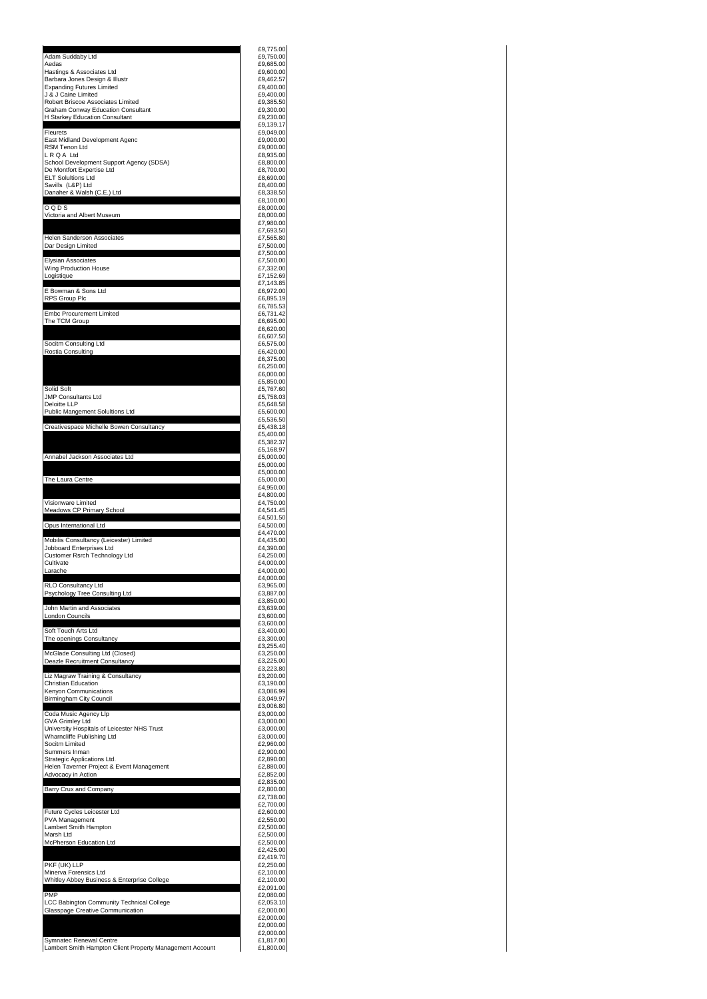| Adam Suddaby Ltd                                                               | £9,775.00<br>£9,750.00                                                                                                                                                                                                                                           |
|--------------------------------------------------------------------------------|------------------------------------------------------------------------------------------------------------------------------------------------------------------------------------------------------------------------------------------------------------------|
| Aedas                                                                          | £9,685.00                                                                                                                                                                                                                                                        |
| Hastings & Associates Ltd<br>Barbara Jones Design & Illustr                    | £9,600.00<br>£9,462.57                                                                                                                                                                                                                                           |
| <b>Expanding Futures Limited</b><br>J & J Caine Limited                        | £9,400.00<br>£9,400.00                                                                                                                                                                                                                                           |
| Robert Briscoe Associates Limited<br><b>Graham Conway Education Consultant</b> | £9,385.50<br>£9,300.00                                                                                                                                                                                                                                           |
| H Starkey Education Consultant                                                 | £9,230.00<br>£9,139.17                                                                                                                                                                                                                                           |
| Fleurets                                                                       | £9,049.00                                                                                                                                                                                                                                                        |
| East Midland Development Agenc<br><b>RSM Tenon Ltd</b>                         | £9,000.00<br>£9,000.00                                                                                                                                                                                                                                           |
| LRQA Ltd<br>School Development Support Agency (SDSA)                           | £8,935.00<br>£8,800.00                                                                                                                                                                                                                                           |
| De Montfort Expertise Ltd<br><b>ELT Soluitions Ltd</b>                         | £8,700.00<br>£8,690.00                                                                                                                                                                                                                                           |
| Savills (L&P) Ltd<br>Danaher & Walsh (C.E.) Ltd                                | £8,400.00<br>£8,338.50                                                                                                                                                                                                                                           |
|                                                                                | £8,100.00                                                                                                                                                                                                                                                        |
| OQDS<br>Victoria and Albert Museum                                             | £8,000.00<br>£8,000.00                                                                                                                                                                                                                                           |
|                                                                                | £7,980.00<br>£7,693.50                                                                                                                                                                                                                                           |
| <b>Helen Sanderson Associates</b><br>Dar Design Limited                        | £7,565.80<br>£7,500.00                                                                                                                                                                                                                                           |
| <b>Elysian Associates</b>                                                      | £7,500.00<br>£7,500.00                                                                                                                                                                                                                                           |
| <b>Wing Production House</b>                                                   | £7,332.00                                                                                                                                                                                                                                                        |
| Logistique                                                                     | £7,152.69<br>£7,143.85                                                                                                                                                                                                                                           |
| E Bowman & Sons Ltd<br>RPS Group Plc                                           | £6,972.00<br>£6,895.19                                                                                                                                                                                                                                           |
| <b>Embc Procurement Limited</b>                                                | £6,785.53<br>£6,731.42                                                                                                                                                                                                                                           |
| The TCM Group                                                                  | £6,695.00                                                                                                                                                                                                                                                        |
|                                                                                | £6,620.00<br>£6,607.50                                                                                                                                                                                                                                           |
| Socitm Consulting Ltd<br>Rostia Consulting                                     | £6,575.00<br>£6,420.00                                                                                                                                                                                                                                           |
|                                                                                | £6,375.00<br>£6,250.00                                                                                                                                                                                                                                           |
|                                                                                | £6,000.00<br>£5,850.00                                                                                                                                                                                                                                           |
| Solid Soft                                                                     | £5,767.60                                                                                                                                                                                                                                                        |
| <b>JMP Consultants Ltd</b><br>Deloitte LLP                                     | £5,758.03<br>£5,648.58                                                                                                                                                                                                                                           |
| <b>Public Mangement Solultions Ltd</b>                                         | £5,600.00<br>£5,536.50                                                                                                                                                                                                                                           |
| Creativespace Michelle Bowen Consultancy                                       | £5,438.18<br>£5,400.00                                                                                                                                                                                                                                           |
|                                                                                | £5,382.37<br>£5,168.97                                                                                                                                                                                                                                           |
| Annabel Jackson Associates Ltd                                                 | £5,000.00                                                                                                                                                                                                                                                        |
|                                                                                | £5,000.00<br>£5,000.00                                                                                                                                                                                                                                           |
| The Laura Centre                                                               | £5,000.00<br>£4,950.00                                                                                                                                                                                                                                           |
| Visionware Limited                                                             | £4,800.00<br>£4,750.00                                                                                                                                                                                                                                           |
| <b>Meadows CP Primary School</b>                                               | £4,541.45<br>£4,501.50                                                                                                                                                                                                                                           |
| Opus International Ltd                                                         | £4,500.00                                                                                                                                                                                                                                                        |
| Mobilis Consultancy (Leicester) Limited                                        | £4,470.00<br>£4,435.00                                                                                                                                                                                                                                           |
| Jobboard Enterprises Ltd<br>Customer Rsrch Technology Ltd                      | £4,390.00<br>£4,250.00                                                                                                                                                                                                                                           |
| Cultivate<br>Larache                                                           | £4,000.00<br>£4,000.00                                                                                                                                                                                                                                           |
| RLO Consultancy Ltd                                                            | £4,000.00<br>£3,965.00                                                                                                                                                                                                                                           |
| Psychology Tree Consulting Ltd                                                 | £3,887.00<br>£3,850.00                                                                                                                                                                                                                                           |
| John Martin and Associates                                                     | £3,639.00                                                                                                                                                                                                                                                        |
| <b>London Councils</b>                                                         | £3,600.00<br>£3,600.00                                                                                                                                                                                                                                           |
| Soft Touch Arts Ltd<br>The openings Consultancy                                | £3,400.00<br>£3,300.00                                                                                                                                                                                                                                           |
| McGlade Consulting Ltd (Closed)                                                | £3,255.40<br>£3,250.00                                                                                                                                                                                                                                           |
| Deazle Recruitment Consultancy                                                 | £3,225.00                                                                                                                                                                                                                                                        |
| Liz Magraw Training & Consultancy                                              | £3,223.80<br>£3,200.00                                                                                                                                                                                                                                           |
| <b>Christian Education</b><br>Kenyon Communications                            | £3,190.00<br>£3,086.99                                                                                                                                                                                                                                           |
| <b>Birmingham City Council</b>                                                 | £3,049.97<br>£3,006.80                                                                                                                                                                                                                                           |
| Coda Music Agency Llp<br><b>GVA Grimley Ltd</b>                                | £3,000.00<br>£3,000.00                                                                                                                                                                                                                                           |
| University Hospitals of Leicester NHS Trust<br>Wharncliffe Publishing Ltd      | £3,000.00<br>£3,000.00                                                                                                                                                                                                                                           |
| Socitm Limited                                                                 | £2,960.00                                                                                                                                                                                                                                                        |
| Summers Inman<br>Strategic Applications Ltd.                                   | £2,900.00<br>£2,890.00                                                                                                                                                                                                                                           |
| Helen Taverner Project & Event Management<br>Advocacy in Action                | £2,880.00<br>£2,852.00                                                                                                                                                                                                                                           |
|                                                                                | £2,835.00<br>£2,800.00                                                                                                                                                                                                                                           |
|                                                                                |                                                                                                                                                                                                                                                                  |
| Barry Crux and Company                                                         |                                                                                                                                                                                                                                                                  |
| Future Cycles Leicester Ltd                                                    |                                                                                                                                                                                                                                                                  |
| <b>PVA Management</b><br>Lambert Smith Hampton                                 |                                                                                                                                                                                                                                                                  |
| Marsh Ltd                                                                      |                                                                                                                                                                                                                                                                  |
| McPherson Education Ltd                                                        |                                                                                                                                                                                                                                                                  |
| PKF (UK) LLP                                                                   |                                                                                                                                                                                                                                                                  |
| Minerva Forensics Ltd<br>Whitley Abbey Business & Enterprise College           |                                                                                                                                                                                                                                                                  |
| <b>PMP</b>                                                                     |                                                                                                                                                                                                                                                                  |
| LCC Babington Community Technical College<br>Glasspage Creative Communication  |                                                                                                                                                                                                                                                                  |
|                                                                                |                                                                                                                                                                                                                                                                  |
| Symnatec Renewal Centre                                                        | £2,738.00<br>£2,700.00<br>£2,600.00<br>£2,550.00<br>£2,500.00<br>£2,500.00<br>£2,500.00<br>£2,425.00<br>£2,419.70<br>£2,250.00<br>£2,100.00<br>£2,100.00<br>£2,091.00<br>£2,080.00<br>£2,053.10<br>£2,000.00<br>£2,000.00<br>£2,000.00<br>£2,000.00<br>£1,817.00 |